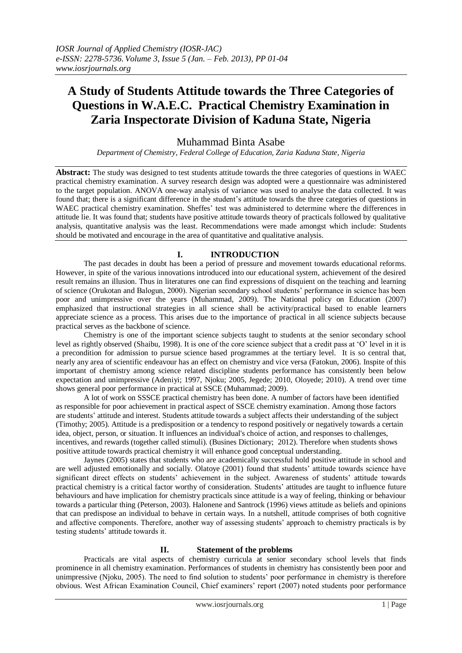# **A Study of Students Attitude towards the Three Categories of Questions in W.A.E.C. Practical Chemistry Examination in Zaria Inspectorate Division of Kaduna State, Nigeria**

# Muhammad Binta Asabe

*Department of Chemistry, Federal College of Education, Zaria Kaduna State, Nigeria*

**Abstract:** The study was designed to test students attitude towards the three categories of questions in WAEC practical chemistry examination. A survey research design was adopted were a questionnaire was administered to the target population. ANOVA one-way analysis of variance was used to analyse the data collected. It was found that; there is a significant difference in the student's attitude towards the three categories of questions in WAEC practical chemistry examination. Sheffes' test was administered to determine where the differences in attitude lie. It was found that; students have positive attitude towards theory of practicals followed by qualitative analysis, quantitative analysis was the least. Recommendations were made amongst which include: Students should be motivated and encourage in the area of quantitative and qualitative analysis.

# **I. INTRODUCTION**

The past decades in doubt has been a period of pressure and movement towards educational reforms. However, in spite of the various innovations introduced into our educational system, achievement of the desired result remains an illusion. Thus in literatures one can find expressions of disquient on the teaching and learning of science (Orukotan and Balogun, 2000). Nigerian secondary school students' performance in science has been poor and unimpressive over the years (Muhammad, 2009). The National policy on Education (2007) emphasized that instructional strategies in all science shall be activity/practical based to enable learners appreciate science as a process. This arises due to the importance of practical in all science subjects because practical serves as the backbone of science.

Chemistry is one of the important science subjects taught to students at the senior secondary school level as rightly observed (Shaibu, 1998). It is one of the core science subject that a credit pass at 'O' level in it is a precondition for admission to pursue science based programmes at the tertiary level. It is so central that, nearly any area of scientific endeavour has an effect on chemistry and vice versa (Fatokun, 2006). Inspite of this important of chemistry among science related discipline students performance has consistently been below expectation and unimpressive (Adeniyi; 1997, Njoku; 2005, Jegede; 2010, Oloyede; 2010). A trend over time shows general poor performance in practical at SSCE (Muhammad; 2009).

A lot of work on SSSCE practical chemistry has been done. A number of factors have been identified as responsible for poor achievement in practical aspect of SSCE chemistry examination. Among those factors are students' attitude and interest. Students attitude towards a subject affects their understanding of the subject (Timothy; 2005). Attitude is a predisposition or a tendency to respond positively or negatively towards a certain idea[, object,](http://www.businessdictionary.com/definition/object.html) [person,](http://www.businessdictionary.com/definition/person.html) or situation. It [influences](http://www.businessdictionary.com/definition/influence.html) an [individual's](http://www.businessdictionary.com/definition/individual.html) [choice](http://www.businessdictionary.com/definition/choice.html) of action, an[d responses](http://www.businessdictionary.com/definition/response.html) to challenges, [incentives,](http://www.businessdictionary.com/definition/incentive.html) an[d rewards](http://www.businessdictionary.com/definition/reward.html) (together calle[d stimuli\)](http://www.businessdictionary.com/definition/stimuli.html). (Busines Dictionary; 2012). Therefore when students shows positive attitude towards practical chemistry it will enhance good conceptual understanding.

Jaynes (2005) states that students who are academically successful hold positive attitude in school and are well adjusted emotionally and socially. Olatoye (2001) found that students' attitude towards science have significant direct effects on students' achievement in the subject. Awareness of students' attitude towards practical chemistry is a critical factor worthy of consideration. Students' attitudes are taught to influence future behaviours and have implication for chemistry practicals since attitude is a way of feeling, thinking or behaviour towards a particular thing (Peterson, 2003). Halonene and Santrock (1996) views attitude as beliefs and opinions that can predispose an individual to behave in certain ways. In a nutshell, attitude comprises of both cognitive and affective components. Therefore, another way of assessing students' approach to chemistry practicals is by testing students' attitude towards it.

# **II. Statement of the problems**

Practicals are vital aspects of chemistry curricula at senior secondary school levels that finds prominence in all chemistry examination. Performances of students in chemistry has consistently been poor and unimpressive (Njoku, 2005). The need to find solution to students' poor performance in chemistry is therefore obvious. West African Examination Council, Chief examiners' report (2007) noted students poor performance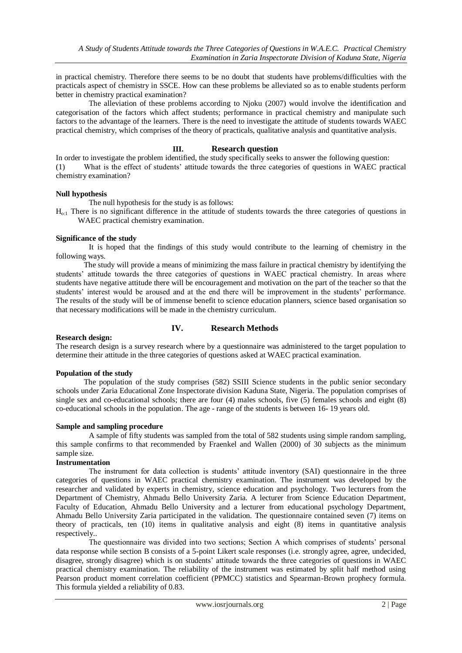in practical chemistry. Therefore there seems to be no doubt that students have problems/difficulties with the practicals aspect of chemistry in SSCE. How can these problems be alleviated so as to enable students perform better in chemistry practical examination?

The alleviation of these problems according to Njoku (2007) would involve the identification and categorisation of the factors which affect students; performance in practical chemistry and manipulate such factors to the advantage of the learners. There is the need to investigate the attitude of students towards WAEC practical chemistry, which comprises of the theory of practicals, qualitative analysis and quantitative analysis.

## **III. Research question**

In order to investigate the problem identified, the study specifically seeks to answer the following question: (1) What is the effect of students' attitude towards the three categories of questions in WAEC practical chemistry examination?

#### **Null hypothesis**

The null hypothesis for the study is as follows:

 $H<sub>o-1</sub>$  There is no significant difference in the attitude of students towards the three categories of questions in WAEC practical chemistry examination.

## **Significance of the study**

It is hoped that the findings of this study would contribute to the learning of chemistry in the following ways.

The study will provide a means of minimizing the mass failure in practical chemistry by identifying the students' attitude towards the three categories of questions in WAEC practical chemistry. In areas where students have negative attitude there will be encouragement and motivation on the part of the teacher so that the students' interest would be aroused and at the end there will be improvement in the students' performance. The results of the study will be of immense benefit to science education planners, science based organisation so that necessary modifications will be made in the chemistry curriculum.

# **IV. Research Methods**

#### **Research design:**

The research design is a survey research where by a questionnaire was administered to the target population to determine their attitude in the three categories of questions asked at WAEC practical examination.

#### **Population of the study**

The population of the study comprises (582) SSIII Science students in the public senior secondary schools under Zaria Educational Zone Inspectorate division Kaduna State, Nigeria. The population comprises of single sex and co-educational schools; there are four (4) males schools, five (5) females schools and eight (8) co-educational schools in the population. The age - range of the students is between 16- 19 years old.

# **Sample and sampling procedure**

A sample of fifty students was sampled from the total of 582 students using simple random sampling, this sample confirms to that recommended by Fraenkel and Wallen (2000) of 30 subjects as the minimum sample size.

# **Instrumentation**

The instrument for data collection is students' attitude inventory (SAI) questionnaire in the three categories of questions in WAEC practical chemistry examination. The instrument was developed by the researcher and validated by experts in chemistry, science education and psychology. Two lecturers from the Department of Chemistry, Ahmadu Bello University Zaria. A lecturer from Science Education Department, Faculty of Education, Ahmadu Bello University and a lecturer from educational psychology Department, Ahmadu Bello University Zaria participated in the validation. The questionnaire contained seven (7) items on theory of practicals, ten (10) items in qualitative analysis and eight (8) items in quantitative analysis respectively..

The questionnaire was divided into two sections; Section A which comprises of students' personal data response while section B consists of a 5-point Likert scale responses (i.e. strongly agree, agree, undecided, disagree, strongly disagree) which is on students' attitude towards the three categories of questions in WAEC practical chemistry examination. The reliability of the instrument was estimated by split half method using Pearson product moment correlation coefficient (PPMCC) statistics and Spearman-Brown prophecy formula. This formula yielded a reliability of 0.83.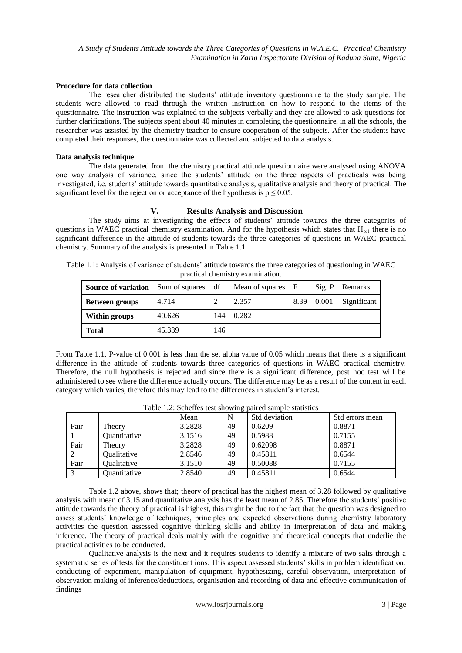#### **Procedure for data collection**

The researcher distributed the students' attitude inventory questionnaire to the study sample. The students were allowed to read through the written instruction on how to respond to the items of the questionnaire. The instruction was explained to the subjects verbally and they are allowed to ask questions for further clarifications. The subjects spent about 40 minutes in completing the questionnaire, in all the schools, the researcher was assisted by the chemistry teacher to ensure cooperation of the subjects. After the students have completed their responses, the questionnaire was collected and subjected to data analysis.

#### **Data analysis technique**

The data generated from the chemistry practical attitude questionnaire were analysed using ANOVA one way analysis of variance, since the students' attitude on the three aspects of practicals was being investigated, i.e. students' attitude towards quantitative analysis, qualitative analysis and theory of practical. The significant level for the rejection or acceptance of the hypothesis is  $p \le 0.05$ .

#### **V. Results Analysis and Discussion**

The study aims at investigating the effects of students' attitude towards the three categories of questions in WAEC practical chemistry examination. And for the hypothesis which states that  $H_{o:1}$  there is no significant difference in the attitude of students towards the three categories of questions in WAEC practical chemistry. Summary of the analysis is presented in Table 1.1.

Table 1.1: Analysis of variance of students' attitude towards the three categories of questioning in WAEC practical chemistry examination.

| <b>Source of variation</b> Sum of squares df Mean of squares F |        |     |       |            | Sig. P Remarks |
|----------------------------------------------------------------|--------|-----|-------|------------|----------------|
| <b>Between groups</b>                                          | 4.714  |     | 2.357 | 8.39 0.001 | Significant    |
| Within groups                                                  | 40.626 | 144 | 0.282 |            |                |
| <b>Total</b>                                                   | 45.339 | 146 |       |            |                |

From Table 1.1, P-value of 0.001 is less than the set alpha value of 0.05 which means that there is a significant difference in the attitude of students towards three categories of questions in WAEC practical chemistry. Therefore, the null hypothesis is rejected and since there is a significant difference, post hoc test will be administered to see where the difference actually occurs. The difference may be as a result of the content in each category which varies, therefore this may lead to the differences in student's interest.

|      |                    | Mean   | N  | Std deviation | Std errors mean |
|------|--------------------|--------|----|---------------|-----------------|
| Pair | Theorv             | 3.2828 | 49 | 0.6209        | 0.8871          |
|      | Ouantitative       | 3.1516 | 49 | 0.5988        | 0.7155          |
| Pair | Theory             | 3.2828 | 49 | 0.62098       | 0.8871          |
|      | Qualitative        | 2.8546 | 49 | 0.45811       | 0.6544          |
| Pair | <b>Oualitative</b> | 3.1510 | 49 | 0.50088       | 0.7155          |
|      | Quantitative       | 2.8540 | 49 | 0.45811       | 0.6544          |

| Table 1.2: Scheffes test showing paired sample statistics |  |
|-----------------------------------------------------------|--|
|-----------------------------------------------------------|--|

Table 1.2 above, shows that; theory of practical has the highest mean of 3.28 followed by qualitative analysis with mean of 3.15 and quantitative analysis has the least mean of 2.85. Therefore the students' positive attitude towards the theory of practical is highest, this might be due to the fact that the question was designed to assess students' knowledge of techniques, principles and expected observations during chemistry laboratory activities the question assessed cognitive thinking skills and ability in interpretation of data and making inference. The theory of practical deals mainly with the cognitive and theoretical concepts that underlie the practical activities to be conducted.

Qualitative analysis is the next and it requires students to identify a mixture of two salts through a systematic series of tests for the constituent ions. This aspect assessed students' skills in problem identification, conducting of experiment, manipulation of equipment, hypothesizing, careful observation, interpretation of observation making of inference/deductions, organisation and recording of data and effective communication of findings